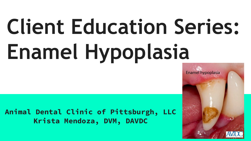# **Client Education Series: Enamel Hypoplasia**

**Animal Dental Clinic of Pittsburgh, LLC Krista Mendoza, DVM, DAVDC**

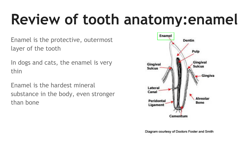## **Review of tooth anatomy:enamel**

Enamel is the protective, outermost layer of the tooth

In dogs and cats, the enamel is very thin

Enamel is the hardest mineral substance in the body, even stronger than bone



Diagram courtesy of Doctors Foster and Smith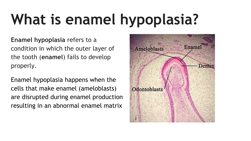# **What is enamel hypoplasia?**

**Enamel hypoplasia** refers to a condition in which the outer layer of the tooth (**enamel**) fails to develop properly.

Enamel hypoplasia happens when the cells that make enamel (ameloblasts) are disrupted during enamel production resulting in an abnormal enamel matrix

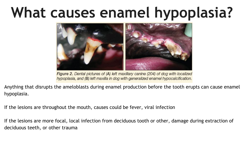#### **What causes enamel hypoplasia?**



Figure 2. Dental pictures of (A) left maxillary canine (204) of dog with localized hypoplasia, and (B) left maxilla in dog with generalized enamel hypocalcification.

Anything that disrupts the ameloblasts during enamel production before the tooth erupts can cause enamel hypoplasia.

If the lesions are throughout the mouth, causes could be fever, viral infection

If the lesions are more focal, local infection from deciduous tooth or other, damage during extraction of deciduous teeth, or other trauma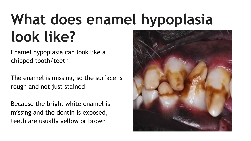## **What does enamel hypoplasia look like?**

Enamel hypoplasia can look like a chipped tooth/teeth

The enamel is missing, so the surface is rough and not just stained

Because the bright white enamel is missing and the dentin is exposed, teeth are usually yellow or brown